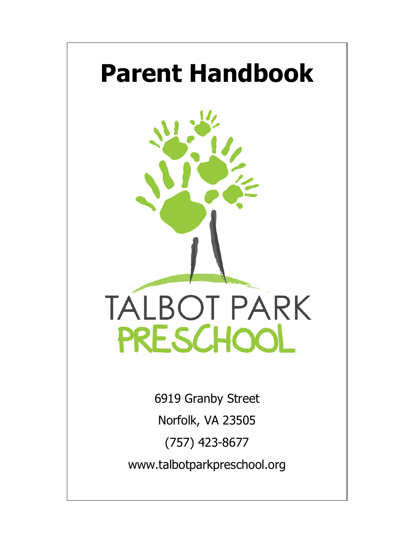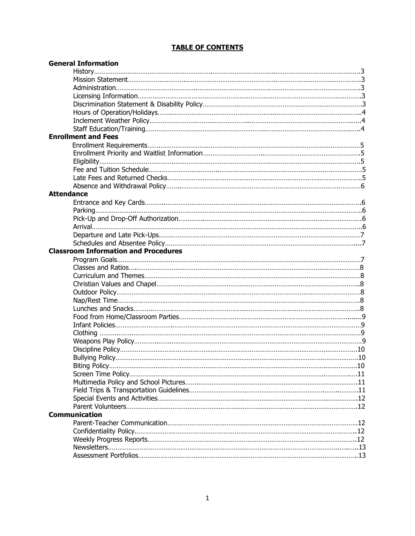## **TABLE OF CONTENTS**

| <b>General Information</b>                  |  |
|---------------------------------------------|--|
|                                             |  |
|                                             |  |
|                                             |  |
|                                             |  |
|                                             |  |
|                                             |  |
|                                             |  |
|                                             |  |
| <b>Enrollment and Fees</b>                  |  |
|                                             |  |
|                                             |  |
|                                             |  |
|                                             |  |
|                                             |  |
|                                             |  |
| <b>Attendance</b>                           |  |
|                                             |  |
|                                             |  |
|                                             |  |
|                                             |  |
|                                             |  |
|                                             |  |
| <b>Classroom Information and Procedures</b> |  |
|                                             |  |
|                                             |  |
|                                             |  |
|                                             |  |
|                                             |  |
|                                             |  |
|                                             |  |
|                                             |  |
|                                             |  |
|                                             |  |
|                                             |  |
|                                             |  |
|                                             |  |
|                                             |  |
|                                             |  |
|                                             |  |
|                                             |  |
|                                             |  |
|                                             |  |
| <b>Communication</b>                        |  |
|                                             |  |
|                                             |  |
|                                             |  |
|                                             |  |
|                                             |  |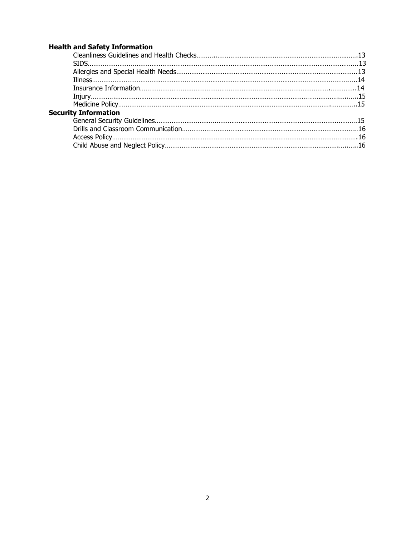## **Health and Safety Information**

| <b>Security Information</b> |  |
|-----------------------------|--|
|                             |  |
|                             |  |
|                             |  |
|                             |  |
|                             |  |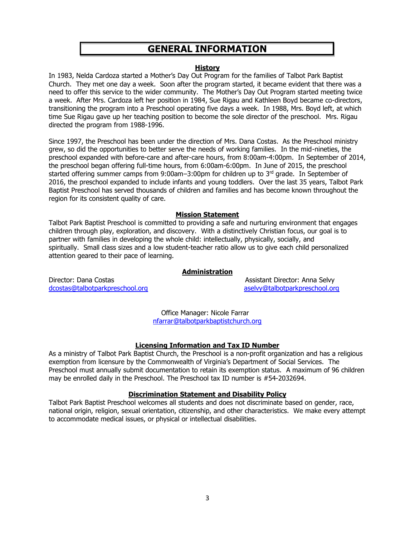# **GENERAL INFORMATION**

#### **History**

In 1983, Nelda Cardoza started a Mother's Day Out Program for the families of Talbot Park Baptist Church. They met one day a week. Soon after the program started, it became evident that there was a need to offer this service to the wider community. The Mother's Day Out Program started meeting twice a week. After Mrs. Cardoza left her position in 1984, Sue Rigau and Kathleen Boyd became co-directors, transitioning the program into a Preschool operating five days a week. In 1988, Mrs. Boyd left, at which time Sue Rigau gave up her teaching position to become the sole director of the preschool. Mrs. Rigau directed the program from 1988-1996.

Since 1997, the Preschool has been under the direction of Mrs. Dana Costas. As the Preschool ministry grew, so did the opportunities to better serve the needs of working families. In the mid-nineties, the preschool expanded with before-care and after-care hours, from 8:00am-4:00pm. In September of 2014, the preschool began offering full-time hours, from 6:00am-6:00pm. In June of 2015, the preschool started offering summer camps from 9:00am–3:00pm for children up to  $3<sup>rd</sup>$  grade. In September of 2016, the preschool expanded to include infants and young toddlers. Over the last 35 years, Talbot Park Baptist Preschool has served thousands of children and families and has become known throughout the region for its consistent quality of care.

## **Mission Statement**

Talbot Park Baptist Preschool is committed to providing a safe and nurturing environment that engages children through play, exploration, and discovery. With a distinctively Christian focus, our goal is to partner with families in developing the whole child: intellectually, physically, socially, and spiritually. Small class sizes and a low student-teacher ratio allow us to give each child personalized attention geared to their pace of learning.

## **Administration**

Director: Dana Costas Assistant Director: Anna Selvy dcostas@talbotparkpreschool.org aselvy@talbotparkpreschool.org aselvy@talbotparkpreschool.org

 Office Manager: Nicole Farrar nfarrar@talbotparkbaptistchurch.org

## **Licensing Information and Tax ID Number**

As a ministry of Talbot Park Baptist Church, the Preschool is a non-profit organization and has a religious exemption from licensure by the Commonwealth of Virginia's Department of Social Services. The Preschool must annually submit documentation to retain its exemption status. A maximum of 96 children may be enrolled daily in the Preschool. The Preschool tax ID number is #54-2032694.

## **Discrimination Statement and Disability Policy**

Talbot Park Baptist Preschool welcomes all students and does not discriminate based on gender, race, national origin, religion, sexual orientation, citizenship, and other characteristics. We make every attempt to accommodate medical issues, or physical or intellectual disabilities.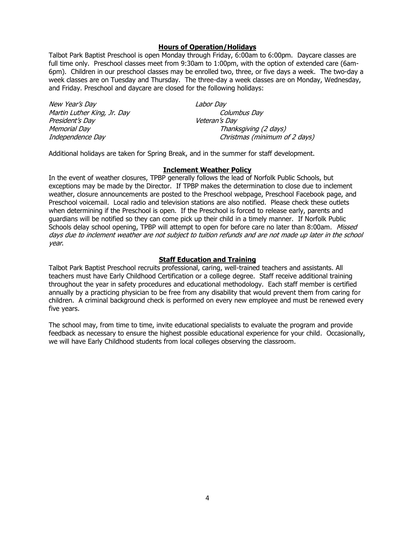#### **Hours of Operation/Holidays**

Talbot Park Baptist Preschool is open Monday through Friday, 6:00am to 6:00pm. Daycare classes are full time only. Preschool classes meet from 9:30am to 1:00pm, with the option of extended care (6am-6pm). Children in our preschool classes may be enrolled two, three, or five days a week. The two-day a week classes are on Tuesday and Thursday. The three-day a week classes are on Monday, Wednesday, and Friday. Preschool and daycare are closed for the following holidays:

| New Year's Day              | Labor Day                     |
|-----------------------------|-------------------------------|
| Martin Luther King, Jr. Day | Columbus Day                  |
| President's Day             | Veteran's Day                 |
| Memorial Day                | Thanksgiving (2 days)         |
| Independence Day            | Christmas (minimum of 2 days) |

Additional holidays are taken for Spring Break, and in the summer for staff development.

#### **Inclement Weather Policy**

In the event of weather closures, TPBP generally follows the lead of Norfolk Public Schools, but exceptions may be made by the Director. If TPBP makes the determination to close due to inclement weather, closure announcements are posted to the Preschool webpage, Preschool Facebook page, and Preschool voicemail. Local radio and television stations are also notified. Please check these outlets when determining if the Preschool is open. If the Preschool is forced to release early, parents and guardians will be notified so they can come pick up their child in a timely manner. If Norfolk Public Schools delay school opening, TPBP will attempt to open for before care no later than 8:00am. Missed days due to inclement weather are not subject to tuition refunds and are not made up later in the school year.

#### **Staff Education and Training**

Talbot Park Baptist Preschool recruits professional, caring, well-trained teachers and assistants. All teachers must have Early Childhood Certification or a college degree. Staff receive additional training throughout the year in safety procedures and educational methodology. Each staff member is certified annually by a practicing physician to be free from any disability that would prevent them from caring for children. A criminal background check is performed on every new employee and must be renewed every five years.

The school may, from time to time, invite educational specialists to evaluate the program and provide feedback as necessary to ensure the highest possible educational experience for your child. Occasionally, we will have Early Childhood students from local colleges observing the classroom.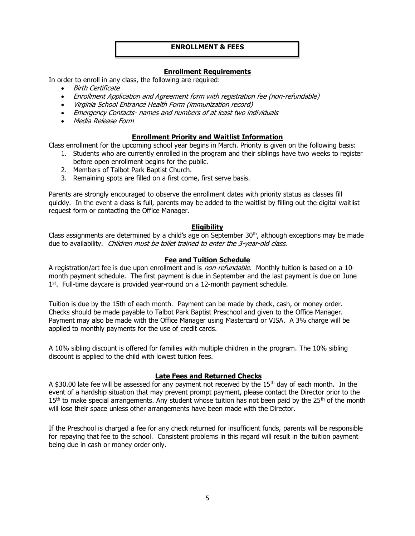#### **ENROLLMENT & FEES**

#### **Enrollment Requirements**

In order to enroll in any class, the following are required:

- Birth Certificate
- Enrollment Application and Agreement form with registration fee (non-refundable)
- Virginia School Entrance Health Form (immunization record)
- Emergency Contacts- names and numbers of at least two individuals
- Media Release Form

#### **Enrollment Priority and Waitlist Information**

Class enrollment for the upcoming school year begins in March. Priority is given on the following basis:

- 1. Students who are currently enrolled in the program and their siblings have two weeks to register before open enrollment begins for the public.
- 2. Members of Talbot Park Baptist Church.
- 3. Remaining spots are filled on a first come, first serve basis.

Parents are strongly encouraged to observe the enrollment dates with priority status as classes fill quickly. In the event a class is full, parents may be added to the waitlist by filling out the digital waitlist request form or contacting the Office Manager.

## **Eligibility**

Class assignments are determined by a child's age on September  $30<sup>th</sup>$ , although exceptions may be made due to availability. Children must be toilet trained to enter the 3-year-old class.

#### **Fee and Tuition Schedule**

A registration/art fee is due upon enrollment and is *non-refundable.* Monthly tuition is based on a 10month payment schedule. The first payment is due in September and the last payment is due on June 1<sup>st</sup>. Full-time daycare is provided year-round on a 12-month payment schedule.

Tuition is due by the 15th of each month. Payment can be made by check, cash, or money order. Checks should be made payable to Talbot Park Baptist Preschool and given to the Office Manager. Payment may also be made with the Office Manager using Mastercard or VISA. A 3% charge will be applied to monthly payments for the use of credit cards.

A 10% sibling discount is offered for families with multiple children in the program. The 10% sibling discount is applied to the child with lowest tuition fees.

## **Late Fees and Returned Checks**

A \$30.00 late fee will be assessed for any payment not received by the 15<sup>th</sup> day of each month. In the event of a hardship situation that may prevent prompt payment, please contact the Director prior to the  $15<sup>th</sup>$  to make special arrangements. Any student whose tuition has not been paid by the  $25<sup>th</sup>$  of the month will lose their space unless other arrangements have been made with the Director.

If the Preschool is charged a fee for any check returned for insufficient funds, parents will be responsible for repaying that fee to the school. Consistent problems in this regard will result in the tuition payment being due in cash or money order only.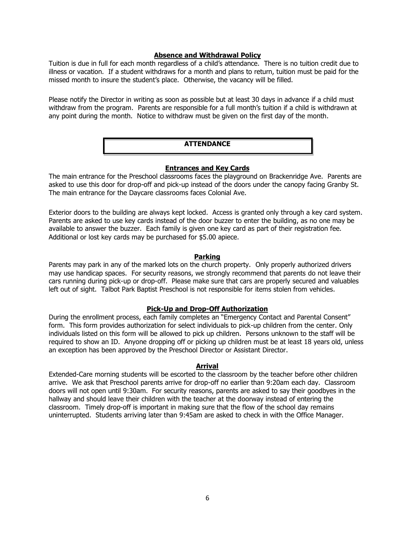#### **Absence and Withdrawal Policy**

Tuition is due in full for each month regardless of a child's attendance. There is no tuition credit due to illness or vacation. If a student withdraws for a month and plans to return, tuition must be paid for the missed month to insure the student's place. Otherwise, the vacancy will be filled.

Please notify the Director in writing as soon as possible but at least 30 days in advance if a child must withdraw from the program. Parents are responsible for a full month's tuition if a child is withdrawn at any point during the month. Notice to withdraw must be given on the first day of the month.

## **ATTENDANCE**

#### **Entrances and Key Cards**

The main entrance for the Preschool classrooms faces the playground on Brackenridge Ave. Parents are asked to use this door for drop-off and pick-up instead of the doors under the canopy facing Granby St. The main entrance for the Daycare classrooms faces Colonial Ave.

Exterior doors to the building are always kept locked. Access is granted only through a key card system. Parents are asked to use key cards instead of the door buzzer to enter the building, as no one may be available to answer the buzzer. Each family is given one key card as part of their registration fee. Additional or lost key cards may be purchased for \$5.00 apiece.

#### **Parking**

Parents may park in any of the marked lots on the church property. Only properly authorized drivers may use handicap spaces. For security reasons, we strongly recommend that parents do not leave their cars running during pick-up or drop-off. Please make sure that cars are properly secured and valuables left out of sight. Talbot Park Baptist Preschool is not responsible for items stolen from vehicles.

#### **Pick-Up and Drop-Off Authorization**

During the enrollment process, each family completes an "Emergency Contact and Parental Consent" form. This form provides authorization for select individuals to pick-up children from the center. Only individuals listed on this form will be allowed to pick up children. Persons unknown to the staff will be required to show an ID. Anyone dropping off or picking up children must be at least 18 years old, unless an exception has been approved by the Preschool Director or Assistant Director.

#### **Arrival**

Extended-Care morning students will be escorted to the classroom by the teacher before other children arrive. We ask that Preschool parents arrive for drop-off no earlier than 9:20am each day. Classroom doors will not open until 9:30am. For security reasons, parents are asked to say their goodbyes in the hallway and should leave their children with the teacher at the doorway instead of entering the classroom. Timely drop-off is important in making sure that the flow of the school day remains uninterrupted. Students arriving later than 9:45am are asked to check in with the Office Manager.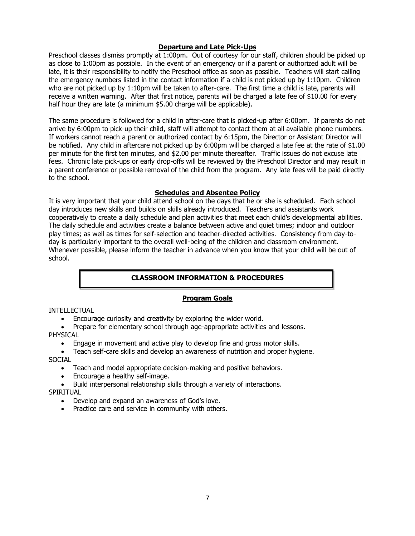## **Departure and Late Pick-Ups**

Preschool classes dismiss promptly at 1:00pm. Out of courtesy for our staff, children should be picked up as close to 1:00pm as possible. In the event of an emergency or if a parent or authorized adult will be late, it is their responsibility to notify the Preschool office as soon as possible. Teachers will start calling the emergency numbers listed in the contact information if a child is not picked up by 1:10pm. Children who are not picked up by 1:10pm will be taken to after-care. The first time a child is late, parents will receive a written warning. After that first notice, parents will be charged a late fee of \$10.00 for every half hour they are late (a minimum \$5.00 charge will be applicable).

The same procedure is followed for a child in after-care that is picked-up after 6:00pm. If parents do not arrive by 6:00pm to pick-up their child, staff will attempt to contact them at all available phone numbers. If workers cannot reach a parent or authorized contact by 6:15pm, the Director or Assistant Director will be notified. Any child in aftercare not picked up by 6:00pm will be charged a late fee at the rate of \$1.00 per minute for the first ten minutes, and \$2.00 per minute thereafter. Traffic issues do not excuse late fees. Chronic late pick-ups or early drop-offs will be reviewed by the Preschool Director and may result in a parent conference or possible removal of the child from the program. Any late fees will be paid directly to the school.

## **Schedules and Absentee Policy**

It is very important that your child attend school on the days that he or she is scheduled. Each school day introduces new skills and builds on skills already introduced. Teachers and assistants work cooperatively to create a daily schedule and plan activities that meet each child's developmental abilities. The daily schedule and activities create a balance between active and quiet times; indoor and outdoor play times; as well as times for self-selection and teacher-directed activities. Consistency from day-today is particularly important to the overall well-being of the children and classroom environment. Whenever possible, please inform the teacher in advance when you know that your child will be out of school.

## **CLASSROOM INFORMATION & PROCEDURES**

## **Program Goals**

## INTELLECTUAL

Encourage curiosity and creativity by exploring the wider world.

• Prepare for elementary school through age-appropriate activities and lessons. PHYSICAL

- Engage in movement and active play to develop fine and gross motor skills.
- Teach self-care skills and develop an awareness of nutrition and proper hygiene.

## SOCIAL

- Teach and model appropriate decision-making and positive behaviors.
- Encourage a healthy self-image.
- Build interpersonal relationship skills through a variety of interactions. SPIRITUAL
	- Develop and expand an awareness of God's love.
	- Practice care and service in community with others.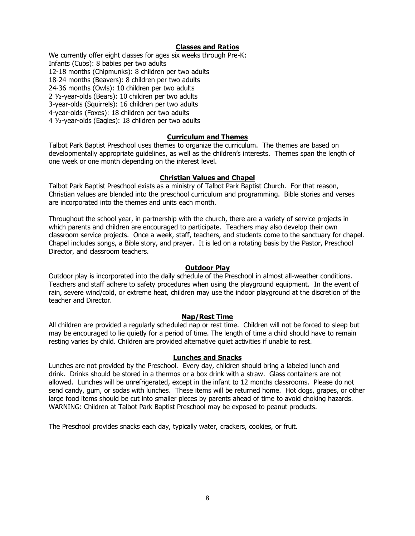#### **Classes and Ratios**

We currently offer eight classes for ages six weeks through Pre-K: Infants (Cubs): 8 babies per two adults 12-18 months (Chipmunks): 8 children per two adults 18-24 months (Beavers): 8 children per two adults 24-36 months (Owls): 10 children per two adults 2 ½-year-olds (Bears): 10 children per two adults 3-year-olds (Squirrels): 16 children per two adults 4-year-olds (Foxes): 18 children per two adults 4 ½-year-olds (Eagles): 18 children per two adults

#### **Curriculum and Themes**

Talbot Park Baptist Preschool uses themes to organize the curriculum. The themes are based on developmentally appropriate guidelines, as well as the children's interests. Themes span the length of one week or one month depending on the interest level.

#### **Christian Values and Chapel**

Talbot Park Baptist Preschool exists as a ministry of Talbot Park Baptist Church. For that reason, Christian values are blended into the preschool curriculum and programming. Bible stories and verses are incorporated into the themes and units each month.

Throughout the school year, in partnership with the church, there are a variety of service projects in which parents and children are encouraged to participate. Teachers may also develop their own classroom service projects. Once a week, staff, teachers, and students come to the sanctuary for chapel. Chapel includes songs, a Bible story, and prayer. It is led on a rotating basis by the Pastor, Preschool Director, and classroom teachers.

#### **Outdoor Play**

Outdoor play is incorporated into the daily schedule of the Preschool in almost all-weather conditions. Teachers and staff adhere to safety procedures when using the playground equipment. In the event of rain, severe wind/cold, or extreme heat, children may use the indoor playground at the discretion of the teacher and Director.

#### **Nap/Rest Time**

All children are provided a regularly scheduled nap or rest time. Children will not be forced to sleep but may be encouraged to lie quietly for a period of time. The length of time a child should have to remain resting varies by child. Children are provided alternative quiet activities if unable to rest.

#### **Lunches and Snacks**

Lunches are not provided by the Preschool. Every day, children should bring a labeled lunch and drink. Drinks should be stored in a thermos or a box drink with a straw. Glass containers are not allowed. Lunches will be unrefrigerated, except in the infant to 12 months classrooms. Please do not send candy, gum, or sodas with lunches. These items will be returned home. Hot dogs, grapes, or other large food items should be cut into smaller pieces by parents ahead of time to avoid choking hazards. WARNING: Children at Talbot Park Baptist Preschool may be exposed to peanut products.

The Preschool provides snacks each day, typically water, crackers, cookies, or fruit.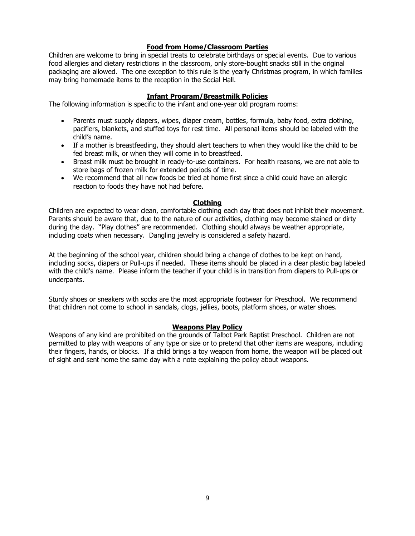#### **Food from Home/Classroom Parties**

Children are welcome to bring in special treats to celebrate birthdays or special events. Due to various food allergies and dietary restrictions in the classroom, only store-bought snacks still in the original packaging are allowed. The one exception to this rule is the yearly Christmas program, in which families may bring homemade items to the reception in the Social Hall.

#### **Infant Program/Breastmilk Policies**

The following information is specific to the infant and one-year old program rooms:

- Parents must supply diapers, wipes, diaper cream, bottles, formula, baby food, extra clothing, pacifiers, blankets, and stuffed toys for rest time. All personal items should be labeled with the child's name.
- If a mother is breastfeeding, they should alert teachers to when they would like the child to be fed breast milk, or when they will come in to breastfeed.
- Breast milk must be brought in ready-to-use containers. For health reasons, we are not able to store bags of frozen milk for extended periods of time.
- We recommend that all new foods be tried at home first since a child could have an allergic reaction to foods they have not had before.

#### **Clothing**

Children are expected to wear clean, comfortable clothing each day that does not inhibit their movement. Parents should be aware that, due to the nature of our activities, clothing may become stained or dirty during the day. "Play clothes" are recommended. Clothing should always be weather appropriate, including coats when necessary. Dangling jewelry is considered a safety hazard.

At the beginning of the school year, children should bring a change of clothes to be kept on hand, including socks, diapers or Pull-ups if needed. These items should be placed in a clear plastic bag labeled with the child's name. Please inform the teacher if your child is in transition from diapers to Pull-ups or underpants.

Sturdy shoes or sneakers with socks are the most appropriate footwear for Preschool. We recommend that children not come to school in sandals, clogs, jellies, boots, platform shoes, or water shoes.

#### **Weapons Play Policy**

Weapons of any kind are prohibited on the grounds of Talbot Park Baptist Preschool. Children are not permitted to play with weapons of any type or size or to pretend that other items are weapons, including their fingers, hands, or blocks. If a child brings a toy weapon from home, the weapon will be placed out of sight and sent home the same day with a note explaining the policy about weapons.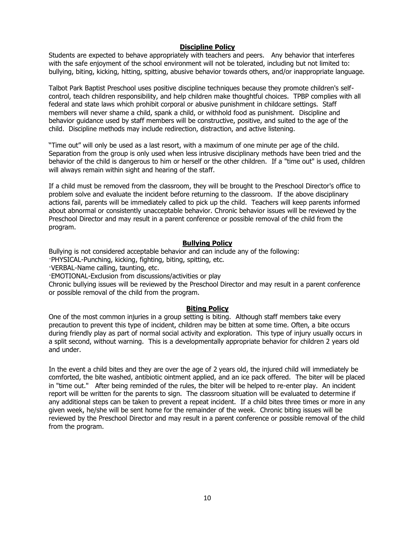#### **Discipline Policy**

Students are expected to behave appropriately with teachers and peers. Any behavior that interferes with the safe enjoyment of the school environment will not be tolerated, including but not limited to: bullying, biting, kicking, hitting, spitting, abusive behavior towards others, and/or inappropriate language.

Talbot Park Baptist Preschool uses positive discipline techniques because they promote children's selfcontrol, teach children responsibility, and help children make thoughtful choices. TPBP complies with all federal and state laws which prohibit corporal or abusive punishment in childcare settings. Staff members will never shame a child, spank a child, or withhold food as punishment. Discipline and behavior guidance used by staff members will be constructive, positive, and suited to the age of the child. Discipline methods may include redirection, distraction, and active listening.

"Time out" will only be used as a last resort, with a maximum of one minute per age of the child. Separation from the group is only used when less intrusive disciplinary methods have been tried and the behavior of the child is dangerous to him or herself or the other children. If a "time out" is used, children will always remain within sight and hearing of the staff.

If a child must be removed from the classroom, they will be brought to the Preschool Director's office to problem solve and evaluate the incident before returning to the classroom. If the above disciplinary actions fail, parents will be immediately called to pick up the child. Teachers will keep parents informed about abnormal or consistently unacceptable behavior. Chronic behavior issues will be reviewed by the Preschool Director and may result in a parent conference or possible removal of the child from the program.

#### **Bullying Policy**

Bullying is not considered acceptable behavior and can include any of the following:

·PHYSICAL-Punching, kicking, fighting, biting, spitting, etc.

·VERBAL-Name calling, taunting, etc.

·EMOTIONAL-Exclusion from discussions/activities or play

Chronic bullying issues will be reviewed by the Preschool Director and may result in a parent conference or possible removal of the child from the program.

#### **Biting Policy**

One of the most common injuries in a group setting is biting. Although staff members take every precaution to prevent this type of incident, children may be bitten at some time. Often, a bite occurs during friendly play as part of normal social activity and exploration. This type of injury usually occurs in a split second, without warning. This is a developmentally appropriate behavior for children 2 years old and under.

In the event a child bites and they are over the age of 2 years old, the injured child will immediately be comforted, the bite washed, antibiotic ointment applied, and an ice pack offered. The biter will be placed in "time out." After being reminded of the rules, the biter will be helped to re-enter play. An incident report will be written for the parents to sign. The classroom situation will be evaluated to determine if any additional steps can be taken to prevent a repeat incident. If a child bites three times or more in any given week, he/she will be sent home for the remainder of the week. Chronic biting issues will be reviewed by the Preschool Director and may result in a parent conference or possible removal of the child from the program.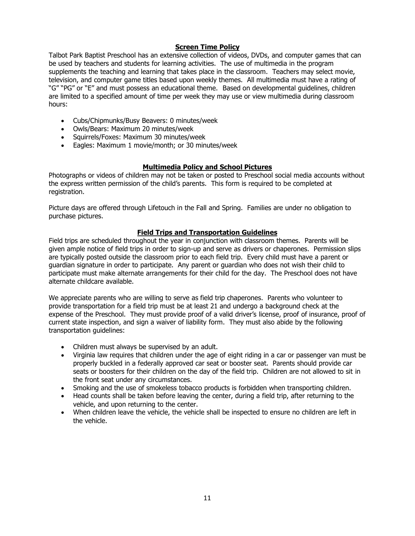## **Screen Time Policy**

Talbot Park Baptist Preschool has an extensive collection of videos, DVDs, and computer games that can be used by teachers and students for learning activities. The use of multimedia in the program supplements the teaching and learning that takes place in the classroom. Teachers may select movie, television, and computer game titles based upon weekly themes. All multimedia must have a rating of "G" "PG" or "E" and must possess an educational theme. Based on developmental guidelines, children are limited to a specified amount of time per week they may use or view multimedia during classroom hours:

- Cubs/Chipmunks/Busy Beavers: 0 minutes/week
- Owls/Bears: Maximum 20 minutes/week
- Squirrels/Foxes: Maximum 30 minutes/week
- Eagles: Maximum 1 movie/month; or 30 minutes/week

## **Multimedia Policy and School Pictures**

Photographs or videos of children may not be taken or posted to Preschool social media accounts without the express written permission of the child's parents. This form is required to be completed at registration.

Picture days are offered through Lifetouch in the Fall and Spring. Families are under no obligation to purchase pictures.

## **Field Trips and Transportation Guidelines**

Field trips are scheduled throughout the year in conjunction with classroom themes. Parents will be given ample notice of field trips in order to sign-up and serve as drivers or chaperones. Permission slips are typically posted outside the classroom prior to each field trip. Every child must have a parent or guardian signature in order to participate. Any parent or guardian who does not wish their child to participate must make alternate arrangements for their child for the day. The Preschool does not have alternate childcare available.

We appreciate parents who are willing to serve as field trip chaperones. Parents who volunteer to provide transportation for a field trip must be at least 21 and undergo a background check at the expense of the Preschool. They must provide proof of a valid driver's license, proof of insurance, proof of current state inspection, and sign a waiver of liability form. They must also abide by the following transportation guidelines:

- Children must always be supervised by an adult.
- Virginia law requires that children under the age of eight riding in a car or passenger van must be properly buckled in a federally approved car seat or booster seat. Parents should provide car seats or boosters for their children on the day of the field trip. Children are not allowed to sit in the front seat under any circumstances.
- Smoking and the use of smokeless tobacco products is forbidden when transporting children.
- Head counts shall be taken before leaving the center, during a field trip, after returning to the vehicle, and upon returning to the center.
- When children leave the vehicle, the vehicle shall be inspected to ensure no children are left in the vehicle.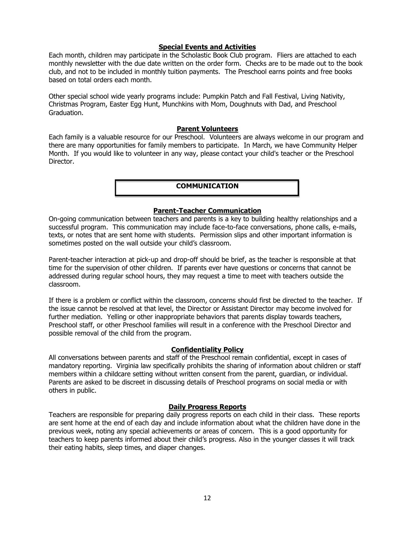#### **Special Events and Activities**

Each month, children may participate in the Scholastic Book Club program. Fliers are attached to each monthly newsletter with the due date written on the order form. Checks are to be made out to the book club, and not to be included in monthly tuition payments. The Preschool earns points and free books based on total orders each month.

Other special school wide yearly programs include: Pumpkin Patch and Fall Festival, Living Nativity, Christmas Program, Easter Egg Hunt, Munchkins with Mom, Doughnuts with Dad, and Preschool Graduation.

#### **Parent Volunteers**

Each family is a valuable resource for our Preschool. Volunteers are always welcome in our program and there are many opportunities for family members to participate. In March, we have Community Helper Month. If you would like to volunteer in any way, please contact your child's teacher or the Preschool Director.

#### **COMMUNICATION**

#### **Parent-Teacher Communication**

On-going communication between teachers and parents is a key to building healthy relationships and a successful program. This communication may include face-to-face conversations, phone calls, e-mails, texts, or notes that are sent home with students. Permission slips and other important information is sometimes posted on the wall outside your child's classroom.

Parent-teacher interaction at pick-up and drop-off should be brief, as the teacher is responsible at that time for the supervision of other children. If parents ever have questions or concerns that cannot be addressed during regular school hours, they may request a time to meet with teachers outside the classroom.

If there is a problem or conflict within the classroom, concerns should first be directed to the teacher. If the issue cannot be resolved at that level, the Director or Assistant Director may become involved for further mediation. Yelling or other inappropriate behaviors that parents display towards teachers, Preschool staff, or other Preschool families will result in a conference with the Preschool Director and possible removal of the child from the program.

## **Confidentiality Policy**

All conversations between parents and staff of the Preschool remain confidential, except in cases of mandatory reporting. Virginia law specifically prohibits the sharing of information about children or staff members within a childcare setting without written consent from the parent, guardian, or individual. Parents are asked to be discreet in discussing details of Preschool programs on social media or with others in public.

## **Daily Progress Reports**

Teachers are responsible for preparing daily progress reports on each child in their class. These reports are sent home at the end of each day and include information about what the children have done in the previous week, noting any special achievements or areas of concern. This is a good opportunity for teachers to keep parents informed about their child's progress. Also in the younger classes it will track their eating habits, sleep times, and diaper changes.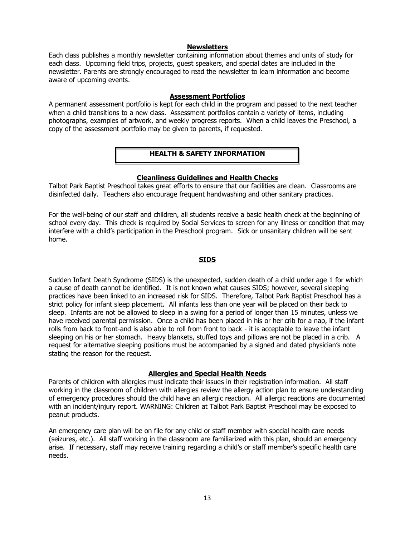#### **Newsletters**

Each class publishes a monthly newsletter containing information about themes and units of study for each class. Upcoming field trips, projects, guest speakers, and special dates are included in the newsletter. Parents are strongly encouraged to read the newsletter to learn information and become aware of upcoming events.

#### **Assessment Portfolios**

A permanent assessment portfolio is kept for each child in the program and passed to the next teacher when a child transitions to a new class. Assessment portfolios contain a variety of items, including photographs, examples of artwork, and weekly progress reports. When a child leaves the Preschool, a copy of the assessment portfolio may be given to parents, if requested.

## **HEALTH & SAFETY INFORMATION**

#### **Cleanliness Guidelines and Health Checks**

Talbot Park Baptist Preschool takes great efforts to ensure that our facilities are clean. Classrooms are disinfected daily. Teachers also encourage frequent handwashing and other sanitary practices.

For the well-being of our staff and children, all students receive a basic health check at the beginning of school every day. This check is required by Social Services to screen for any illness or condition that may interfere with a child's participation in the Preschool program. Sick or unsanitary children will be sent home.

#### **SIDS**

Sudden Infant Death Syndrome (SIDS) is the unexpected, sudden death of a child under age 1 for which a cause of death cannot be identified. It is not known what causes SIDS; however, several sleeping practices have been linked to an increased risk for SIDS. Therefore, Talbot Park Baptist Preschool has a strict policy for infant sleep placement. All infants less than one year will be placed on their back to sleep. Infants are not be allowed to sleep in a swing for a period of longer than 15 minutes, unless we have received parental permission. Once a child has been placed in his or her crib for a nap, if the infant rolls from back to front-and is also able to roll from front to back - it is acceptable to leave the infant sleeping on his or her stomach. Heavy blankets, stuffed toys and pillows are not be placed in a crib. A request for alternative sleeping positions must be accompanied by a signed and dated physician's note stating the reason for the request.

## **Allergies and Special Health Needs**

Parents of children with allergies must indicate their issues in their registration information. All staff working in the classroom of children with allergies review the allergy action plan to ensure understanding of emergency procedures should the child have an allergic reaction. All allergic reactions are documented with an incident/injury report. WARNING: Children at Talbot Park Baptist Preschool may be exposed to peanut products.

An emergency care plan will be on file for any child or staff member with special health care needs (seizures, etc.). All staff working in the classroom are familiarized with this plan, should an emergency arise. If necessary, staff may receive training regarding a child's or staff member's specific health care needs.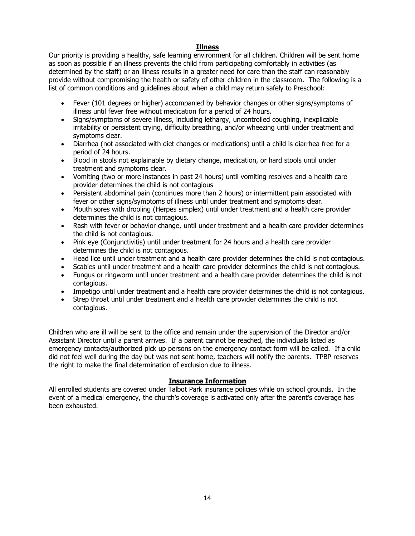## **Illness**

Our priority is providing a healthy, safe learning environment for all children. Children will be sent home as soon as possible if an illness prevents the child from participating comfortably in activities (as determined by the staff) or an illness results in a greater need for care than the staff can reasonably provide without compromising the health or safety of other children in the classroom. The following is a list of common conditions and guidelines about when a child may return safely to Preschool:

- Fever (101 degrees or higher) accompanied by behavior changes or other signs/symptoms of illness until fever free without medication for a period of 24 hours.
- Signs/symptoms of severe illness, including lethargy, uncontrolled coughing, inexplicable irritability or persistent crying, difficulty breathing, and/or wheezing until under treatment and symptoms clear.
- Diarrhea (not associated with diet changes or medications) until a child is diarrhea free for a period of 24 hours.
- Blood in stools not explainable by dietary change, medication, or hard stools until under treatment and symptoms clear.
- Vomiting (two or more instances in past 24 hours) until vomiting resolves and a health care provider determines the child is not contagious
- Persistent abdominal pain (continues more than 2 hours) or intermittent pain associated with fever or other signs/symptoms of illness until under treatment and symptoms clear.
- Mouth sores with drooling (Herpes simplex) until under treatment and a health care provider determines the child is not contagious.
- Rash with fever or behavior change, until under treatment and a health care provider determines the child is not contagious.
- Pink eye (Conjunctivitis) until under treatment for 24 hours and a health care provider determines the child is not contagious.
- Head lice until under treatment and a health care provider determines the child is not contagious.
- Scabies until under treatment and a health care provider determines the child is not contagious.
- Fungus or ringworm until under treatment and a health care provider determines the child is not contagious.
- Impetigo until under treatment and a health care provider determines the child is not contagious.
- Strep throat until under treatment and a health care provider determines the child is not contagious.

Children who are ill will be sent to the office and remain under the supervision of the Director and/or Assistant Director until a parent arrives. If a parent cannot be reached, the individuals listed as emergency contacts/authorized pick up persons on the emergency contact form will be called. If a child did not feel well during the day but was not sent home, teachers will notify the parents. TPBP reserves the right to make the final determination of exclusion due to illness.

## **Insurance Information**

All enrolled students are covered under Talbot Park insurance policies while on school grounds. In the event of a medical emergency, the church's coverage is activated only after the parent's coverage has been exhausted.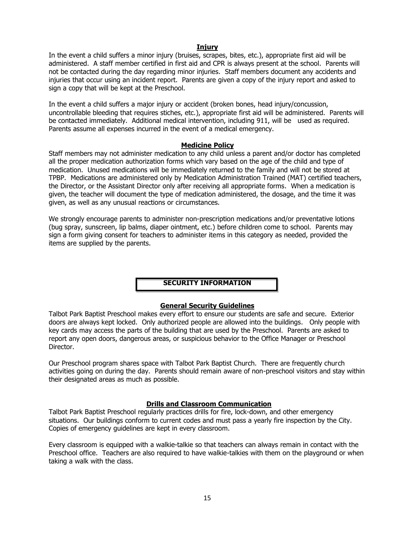#### **Injury**

In the event a child suffers a minor injury (bruises, scrapes, bites, etc.), appropriate first aid will be administered. A staff member certified in first aid and CPR is always present at the school. Parents will not be contacted during the day regarding minor injuries. Staff members document any accidents and injuries that occur using an incident report. Parents are given a copy of the injury report and asked to sign a copy that will be kept at the Preschool.

In the event a child suffers a major injury or accident (broken bones, head injury/concussion, uncontrollable bleeding that requires stiches, etc.), appropriate first aid will be administered. Parents will be contacted immediately. Additional medical intervention, including 911, will be used as required. Parents assume all expenses incurred in the event of a medical emergency.

#### **Medicine Policy**

Staff members may not administer medication to any child unless a parent and/or doctor has completed all the proper medication authorization forms which vary based on the age of the child and type of medication. Unused medications will be immediately returned to the family and will not be stored at TPBP. Medications are administered only by Medication Administration Trained (MAT) certified teachers, the Director, or the Assistant Director only after receiving all appropriate forms. When a medication is given, the teacher will document the type of medication administered, the dosage, and the time it was given, as well as any unusual reactions or circumstances.

We strongly encourage parents to administer non-prescription medications and/or preventative lotions (bug spray, sunscreen, lip balms, diaper ointment, etc.) before children come to school. Parents may sign a form giving consent for teachers to administer items in this category as needed, provided the items are supplied by the parents.

## **SECURITY INFORMATION**

## **General Security Guidelines**

Talbot Park Baptist Preschool makes every effort to ensure our students are safe and secure. Exterior doors are always kept locked. Only authorized people are allowed into the buildings. Only people with key cards may access the parts of the building that are used by the Preschool. Parents are asked to report any open doors, dangerous areas, or suspicious behavior to the Office Manager or Preschool Director.

Our Preschool program shares space with Talbot Park Baptist Church. There are frequently church activities going on during the day. Parents should remain aware of non-preschool visitors and stay within their designated areas as much as possible.

## **Drills and Classroom Communication**

Talbot Park Baptist Preschool regularly practices drills for fire, lock-down, and other emergency situations. Our buildings conform to current codes and must pass a yearly fire inspection by the City. Copies of emergency guidelines are kept in every classroom.

Every classroom is equipped with a walkie-talkie so that teachers can always remain in contact with the Preschool office. Teachers are also required to have walkie-talkies with them on the playground or when taking a walk with the class.